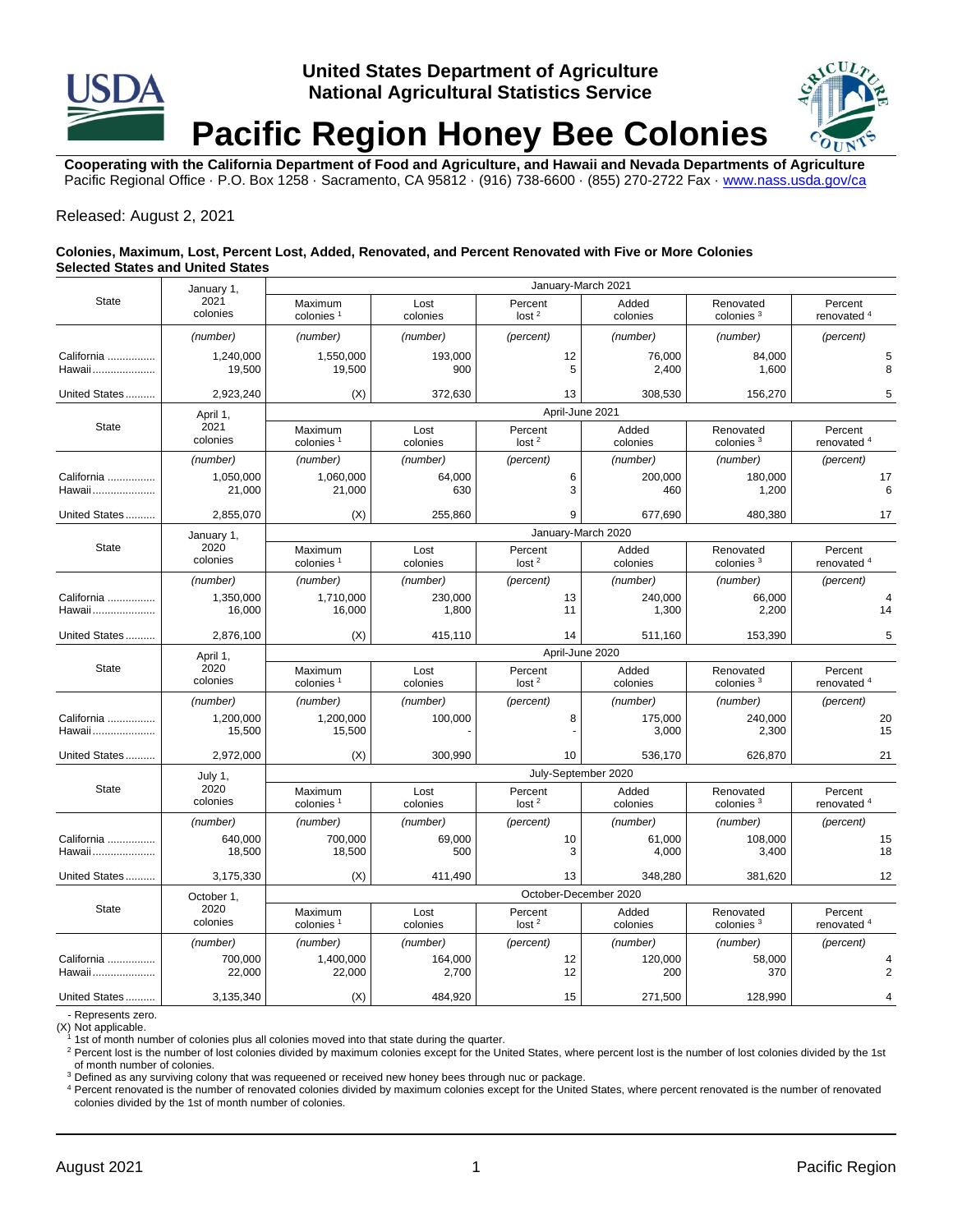# **United States Department of Agriculture National Agricultural Statistics Service Pacific Region Honey Bee Colonies**

**Cooperating with the California Department of Food and Agriculture, and Hawaii and Nevada Departments of Agriculture** Pacific Regional Office · P.O. Box 1258 · Sacramento, CA 95812 · (916) 738-6600 · (855) 270-2722 Fax [· www.nass.usda.gov/ca](http://www.nass.usda.gov/ca)

### Released: August 2, 2021

#### **Colonies, Maximum, Lost, Percent Lost, Added, Renovated, and Percent Renovated with Five or More Colonies Selected States and United States**

|                      | January 1,<br>2021<br>colonies | January-March 2021               |                  |                              |                          |                                    |                                   |  |  |  |
|----------------------|--------------------------------|----------------------------------|------------------|------------------------------|--------------------------|------------------------------------|-----------------------------------|--|--|--|
| <b>State</b>         |                                | Maximum<br>colonies <sup>1</sup> | Lost<br>colonies | Percent<br>lost <sup>2</sup> | Added<br>colonies        | Renovated<br>colonies <sup>3</sup> | Percent<br>renovated <sup>4</sup> |  |  |  |
|                      | (number)                       | (number)                         | (number)         | (percent)                    | (number)                 | (number)                           | (percent)                         |  |  |  |
| California<br>Hawaii | 1,240,000<br>19,500            | 1,550,000<br>19,500              | 193,000<br>900   | 12                           | 76,000<br>5<br>2,400     | 84,000<br>1,600                    | 5<br>8                            |  |  |  |
| United States        | 2,923,240                      | (X)                              | 372,630          | 13                           | 308,530                  | 156,270                            | 5                                 |  |  |  |
| <b>State</b>         | April 1,<br>2021<br>colonies   | April-June 2021                  |                  |                              |                          |                                    |                                   |  |  |  |
|                      |                                | Maximum<br>colonies <sup>1</sup> | Lost<br>colonies | Percent<br>lost <sup>2</sup> | Added<br>colonies        | Renovated<br>colonies <sup>3</sup> | Percent<br>renovated <sup>4</sup> |  |  |  |
|                      | (number)                       | (number)                         | (number)         | (percent)                    | (number)                 | (number)                           | (percent)                         |  |  |  |
| California<br>Hawaii | 1,050,000<br>21,000            | 1,060,000<br>21,000              | 64,000<br>630    |                              | 6<br>200,000<br>3<br>460 | 180,000<br>1,200                   | 17<br>6                           |  |  |  |
| United States        | 2,855,070                      | (X)                              | 255,860          |                              | 9<br>677,690             | 480,380                            | 17                                |  |  |  |
| <b>State</b>         | January 1,<br>2020<br>colonies | January-March 2020               |                  |                              |                          |                                    |                                   |  |  |  |
|                      |                                | Maximum<br>colonies <sup>1</sup> | Lost<br>colonies | Percent<br>lost <sup>2</sup> | Added<br>colonies        | Renovated<br>colonies <sup>3</sup> | Percent<br>renovated <sup>4</sup> |  |  |  |
|                      | (number)                       | (number)                         | (number)         | (percent)                    | (number)                 | (number)                           | (percent)                         |  |  |  |
| California<br>Hawaii | 1,350,000<br>16,000            | 1,710,000<br>16,000              | 230,000<br>1,800 | 13<br>11                     | 240,000<br>1,300         | 66,000<br>2,200                    | 4<br>14                           |  |  |  |
| United States        | 2,876,100                      | (X)                              | 415,110          | 14                           | 511,160                  | 153,390                            | 5                                 |  |  |  |
| <b>State</b>         | April 1,<br>2020<br>colonies   | April-June 2020                  |                  |                              |                          |                                    |                                   |  |  |  |
|                      |                                | Maximum<br>colonies <sup>1</sup> | Lost<br>colonies | Percent<br>lost <sup>2</sup> | Added<br>colonies        | Renovated<br>colonies <sup>3</sup> | Percent<br>renovated <sup>4</sup> |  |  |  |
|                      | (number)                       | (number)                         | (number)         | (percent)                    | (number)                 | (number)                           | (percent)                         |  |  |  |
| California<br>Hawaii | 1,200,000<br>15,500            | 1,200,000<br>15,500              | 100,000          |                              | 8<br>175,000<br>3,000    | 240,000<br>2,300                   | 20<br>15                          |  |  |  |
| United States        | 2,972,000                      | (X)                              | 300,990          | 10                           | 536,170                  | 626,870                            | 21                                |  |  |  |
| <b>State</b>         | July 1,<br>2020<br>colonies    | July-September 2020              |                  |                              |                          |                                    |                                   |  |  |  |
|                      |                                | Maximum<br>colonies <sup>1</sup> | Lost<br>colonies | Percent<br>lost <sup>2</sup> | Added<br>colonies        | Renovated<br>colonies <sup>3</sup> | Percent<br>renovated <sup>4</sup> |  |  |  |
|                      | (number)                       | (number)                         | (number)         | (percent)                    | (number)                 | (number)                           | (percent)                         |  |  |  |
| California<br>Hawaii | 640.000<br>18,500              | 700,000<br>18,500                | 69,000<br>500    | 10                           | 61.000<br>3<br>4,000     | 108.000<br>3,400                   | 15<br>18                          |  |  |  |
| United States        | 3,175,330                      | (X)                              | 411,490          | 13                           | 348,280                  | 381,620                            | 12                                |  |  |  |
| <b>State</b>         | October 1,<br>2020<br>colonies | October-December 2020            |                  |                              |                          |                                    |                                   |  |  |  |
|                      |                                | Maximum<br>colonies <sup>1</sup> | Lost<br>colonies | Percent<br>lost <sup>2</sup> | Added<br>colonies        | Renovated<br>colonies <sup>3</sup> | Percent<br>renovated <sup>4</sup> |  |  |  |
|                      | (number)                       | (number)                         | (number)         | (percent)                    | (number)                 | (number)                           | (percent)                         |  |  |  |
| California<br>Hawaii | 700.000<br>22,000              | 1,400,000<br>22,000              | 164,000<br>2,700 | 12<br>12                     | 120,000<br>200           | 58,000<br>370                      | 4<br>$\overline{2}$               |  |  |  |
| United States        | 3,135,340                      | (X)                              | 484,920          | 15                           | 271,500                  | 128,990                            | $\overline{4}$                    |  |  |  |

- Represents zero.

(X) Not applicable.

1st of month number of colonies plus all colonies moved into that state during the quarter.

<sup>2</sup> Percent lost is the number of lost colonies divided by maximum colonies except for the United States, where percent lost is the number of lost colonies divided by the 1st of month number of colonies.

<sup>3</sup> Defined as any surviving colony that was requeened or received new honey bees through nuc or package.

<sup>4</sup> Percent renovated is the number of renovated colonies divided by maximum colonies except for the United States, where percent renovated is the number of renovated colonies divided by the 1st of month number of colonies.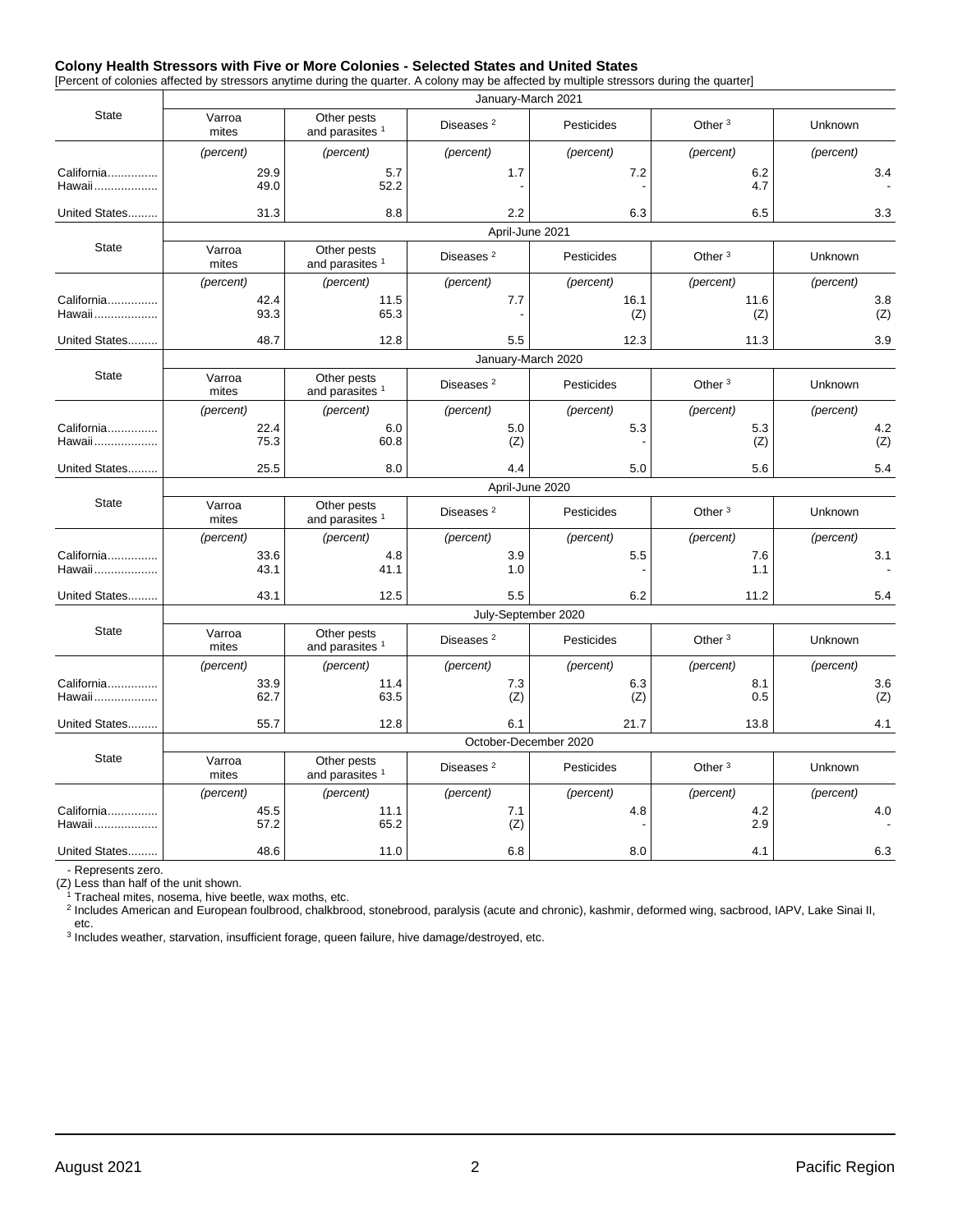#### **Colony Health Stressors with Five or More Colonies - Selected States and United States**

[Percent of colonies affected by stressors anytime during the quarter. A colony may be affected by multiple stressors during the quarter]

|                      | January-March 2021    |                                           |                       |             |                    |            |  |  |  |  |  |
|----------------------|-----------------------|-------------------------------------------|-----------------------|-------------|--------------------|------------|--|--|--|--|--|
| <b>State</b>         | Varroa<br>mites       | Other pests<br>and parasites <sup>1</sup> | Diseases <sup>2</sup> | Pesticides  | Other $3$          | Unknown    |  |  |  |  |  |
|                      | (percent)             | (percent)                                 | (percent)             | (percent)   | (percent)          | (percent)  |  |  |  |  |  |
| California<br>Hawaii | 29.9<br>49.0          | 5.7<br>52.2                               | 1.7                   | 7.2         | 6.2<br>4.7         | 3.4        |  |  |  |  |  |
| United States        | 31.3                  | 8.8                                       | 2.2                   | 6.3         | 6.5                | 3.3        |  |  |  |  |  |
| <b>State</b>         | April-June 2021       |                                           |                       |             |                    |            |  |  |  |  |  |
|                      | Varroa<br>mites       | Other pests<br>and parasites <sup>1</sup> | Diseases <sup>2</sup> | Pesticides  | Other <sup>3</sup> | Unknown    |  |  |  |  |  |
|                      | (percent)             | (percent)                                 | (percent)             | (percent)   | (percent)          | (percent)  |  |  |  |  |  |
| California<br>Hawaii | 42.4<br>93.3          | 11.5<br>65.3                              | 7.7                   | 16.1<br>(Z) | 11.6<br>(Z)        | 3.8<br>(Z) |  |  |  |  |  |
| United States        | 48.7                  | 12.8                                      | 5.5                   | 12.3        | 11.3               | 3.9        |  |  |  |  |  |
| <b>State</b>         | January-March 2020    |                                           |                       |             |                    |            |  |  |  |  |  |
|                      | Varroa<br>mites       | Other pests<br>and parasites <sup>1</sup> | Diseases <sup>2</sup> | Pesticides  | Other <sup>3</sup> | Unknown    |  |  |  |  |  |
|                      | (percent)             | (percent)                                 | (percent)             | (percent)   | (percent)          | (percent)  |  |  |  |  |  |
| California<br>Hawaii | 22.4<br>75.3          | 6.0<br>60.8                               | 5.0<br>(Z)            | 5.3         | 5.3<br>(Z)         | 4.2<br>(Z) |  |  |  |  |  |
| United States        | 25.5                  | 8.0                                       | 4.4                   | 5.0         | 5.6                | 5.4        |  |  |  |  |  |
| <b>State</b>         | April-June 2020       |                                           |                       |             |                    |            |  |  |  |  |  |
|                      | Varroa<br>mites       | Other pests<br>and parasites <sup>1</sup> | Diseases <sup>2</sup> | Pesticides  | Other $3$          | Unknown    |  |  |  |  |  |
|                      | (percent)             | (percent)                                 | (percent)             | (percent)   | (percent)          | (percent)  |  |  |  |  |  |
| California<br>Hawaii | 33.6<br>43.1          | 4.8<br>41.1                               | 3.9<br>1.0            | 5.5         | 7.6<br>1.1         | 3.1        |  |  |  |  |  |
| United States        | 43.1                  | 12.5                                      | 5.5                   | 6.2         | 11.2               | 5.4        |  |  |  |  |  |
| <b>State</b>         | July-September 2020   |                                           |                       |             |                    |            |  |  |  |  |  |
|                      | Varroa<br>mites       | Other pests<br>and parasites <sup>1</sup> | Diseases <sup>2</sup> | Pesticides  | Other <sup>3</sup> | Unknown    |  |  |  |  |  |
|                      | (percent)             | (percent)                                 | (percent)             | (percent)   | (percent)          | (percent)  |  |  |  |  |  |
| California<br>Hawaii | 33.9<br>62.7          | 11.4<br>63.5                              | 7.3<br>(Z)            | 6.3<br>(Z)  | 8.1<br>0.5         | 3.6<br>(Z) |  |  |  |  |  |
| United States        | 55.7                  | 12.8                                      | 6.1                   | 21.7        | 13.8               | 4.1        |  |  |  |  |  |
| <b>State</b>         | October-December 2020 |                                           |                       |             |                    |            |  |  |  |  |  |
|                      | Varroa<br>mites       | Other pests<br>and parasites <sup>1</sup> | Diseases <sup>2</sup> | Pesticides  | Other $3$          | Unknown    |  |  |  |  |  |
|                      | (percent)             | (percent)                                 | (percent)             | (percent)   | (percent)          | (percent)  |  |  |  |  |  |
| California<br>Hawaii | 45.5<br>57.2          | 11.1<br>65.2                              | 7.1<br>(Z)            | 4.8         | 4.2<br>2.9         | 4.0        |  |  |  |  |  |
| United States        | 48.6                  | 11.0                                      | 6.8                   | 8.0         | 4.1                | 6.3        |  |  |  |  |  |
|                      |                       |                                           |                       |             |                    |            |  |  |  |  |  |

- Represents zero.

(Z) Less than half of the unit shown.

<sup>1</sup> Tracheal mites, nosema, hive beetle, wax moths, etc.<br><sup>2</sup> Includes American and European foulbrood, chalkbrood, stonebrood, paralysis (acute and chronic), kashmir, deformed wing, sacbrood, IAPV, Lake Sinai II, etc.

3 Includes weather, starvation, insufficient forage, queen failure, hive damage/destroyed, etc.